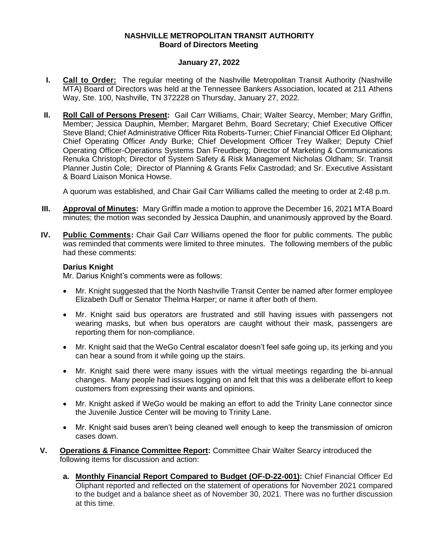## **NASHVILLE METROPOLITAN TRANSIT AUTHORITY Board of Directors Meeting**

## **January 27, 2022**

- **I. Call to Order:** The regular meeting of the Nashville Metropolitan Transit Authority (Nashville MTA) Board of Directors was held at the Tennessee Bankers Association, located at 211 Athens Way, Ste. 100, Nashville, TN 372228 on Thursday, January 27, 2022.
- **II. Roll Call of Persons Present:** Gail Carr Williams, Chair; Walter Searcy, Member; Mary Griffin, Member; Jessica Dauphin, Member; Margaret Behm, Board Secretary; Chief Executive Officer Steve Bland; Chief Administrative Officer Rita Roberts-Turner; Chief Financial Officer Ed Oliphant; Chief Operating Officer Andy Burke; Chief Development Officer Trey Walker; Deputy Chief Operating Officer-Operations Systems Dan Freudberg; Director of Marketing & Communications Renuka Christoph; Director of System Safety & Risk Management Nicholas Oldham; Sr. Transit Planner Justin Cole; Director of Planning & Grants Felix Castrodad; and Sr. Executive Assistant & Board Liaison Monica Howse.

A quorum was established, and Chair Gail Carr Williams called the meeting to order at 2:48 p.m.

- **III. Approval of Minutes:** Mary Griffin made a motion to approve the December 16, 2021 MTA Board minutes; the motion was seconded by Jessica Dauphin, and unanimously approved by the Board.
- **IV. Public Comments:** Chair Gail Carr Williams opened the floor for public comments. The public was reminded that comments were limited to three minutes. The following members of the public had these comments:

## **Darius Knight**

Mr. Darius Knight's comments were as follows:

- Mr. Knight suggested that the North Nashville Transit Center be named after former employee Elizabeth Duff or Senator Thelma Harper; or name it after both of them.
- Mr. Knight said bus operators are frustrated and still having issues with passengers not wearing masks, but when bus operators are caught without their mask, passengers are reporting them for non-compliance.
- Mr. Knight said that the WeGo Central escalator doesn't feel safe going up, its jerking and you can hear a sound from it while going up the stairs.
- Mr. Knight said there were many issues with the virtual meetings regarding the bi-annual changes. Many people had issues logging on and felt that this was a deliberate effort to keep customers from expressing their wants and opinions.
- Mr. Knight asked if WeGo would be making an effort to add the Trinity Lane connector since the Juvenile Justice Center will be moving to Trinity Lane.
- Mr. Knight said buses aren't being cleaned well enough to keep the transmission of omicron cases down.
- **V. Operations & Finance Committee Report:** Committee Chair Walter Searcy introduced the following items for discussion and action:
	- **a. Monthly Financial Report Compared to Budget (OF-D-22-001):** Chief Financial Officer Ed Oliphant reported and reflected on the statement of operations for November 2021 compared to the budget and a balance sheet as of November 30, 2021. There was no further discussion at this time.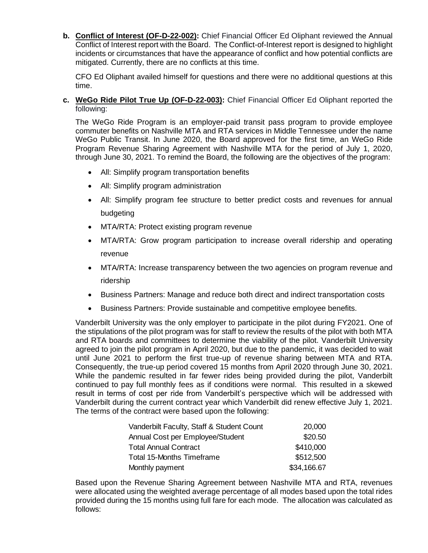**b. Conflict of Interest (OF-D-22-002):** Chief Financial Officer Ed Oliphant reviewed the Annual Conflict of Interest report with the Board. The Conflict-of-Interest report is designed to highlight incidents or circumstances that have the appearance of conflict and how potential conflicts are mitigated. Currently, there are no conflicts at this time.

CFO Ed Oliphant availed himself for questions and there were no additional questions at this time.

# **c. WeGo Ride Pilot True Up (OF-D-22-003):** Chief Financial Officer Ed Oliphant reported the following:

The WeGo Ride Program is an employer-paid transit pass program to provide employee commuter benefits on Nashville MTA and RTA services in Middle Tennessee under the name WeGo Public Transit. In June 2020, the Board approved for the first time, an WeGo Ride Program Revenue Sharing Agreement with Nashville MTA for the period of July 1, 2020, through June 30, 2021. To remind the Board, the following are the objectives of the program:

- All: Simplify program transportation benefits
- All: Simplify program administration
- All: Simplify program fee structure to better predict costs and revenues for annual budgeting
- MTA/RTA: Protect existing program revenue
- MTA/RTA: Grow program participation to increase overall ridership and operating revenue
- MTA/RTA: Increase transparency between the two agencies on program revenue and ridership
- Business Partners: Manage and reduce both direct and indirect transportation costs
- Business Partners: Provide sustainable and competitive employee benefits.

Vanderbilt University was the only employer to participate in the pilot during FY2021. One of the stipulations of the pilot program was for staff to review the results of the pilot with both MTA and RTA boards and committees to determine the viability of the pilot. Vanderbilt University agreed to join the pilot program in April 2020, but due to the pandemic, it was decided to wait until June 2021 to perform the first true-up of revenue sharing between MTA and RTA. Consequently, the true-up period covered 15 months from April 2020 through June 30, 2021. While the pandemic resulted in far fewer rides being provided during the pilot, Vanderbilt continued to pay full monthly fees as if conditions were normal. This resulted in a skewed result in terms of cost per ride from Vanderbilt's perspective which will be addressed with Vanderbilt during the current contract year which Vanderbilt did renew effective July 1, 2021. The terms of the contract were based upon the following:

| Vanderbilt Faculty, Staff & Student Count | 20,000      |
|-------------------------------------------|-------------|
| Annual Cost per Employee/Student          | \$20.50     |
| <b>Total Annual Contract</b>              | \$410,000   |
| <b>Total 15-Months Timeframe</b>          | \$512,500   |
| Monthly payment                           | \$34,166.67 |

Based upon the Revenue Sharing Agreement between Nashville MTA and RTA, revenues were allocated using the weighted average percentage of all modes based upon the total rides provided during the 15 months using full fare for each mode. The allocation was calculated as follows: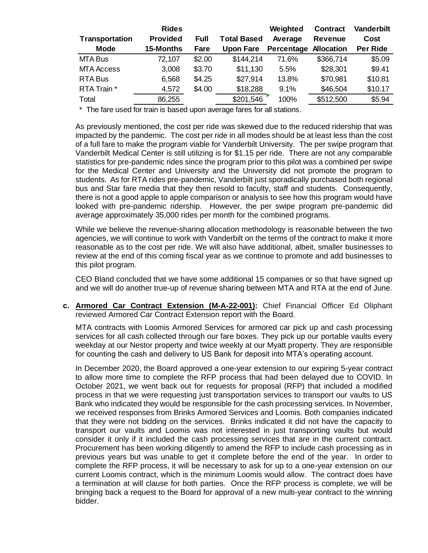|                   | <b>Rides</b>    |        |                    | Weighted   | <b>Contract</b>   | <b>Vanderbilt</b> |
|-------------------|-----------------|--------|--------------------|------------|-------------------|-------------------|
| Transportation    | <b>Provided</b> | Full   | <b>Total Based</b> | Average    | <b>Revenue</b>    | Cost              |
| <b>Mode</b>       | 15-Months       | Fare   | <b>Upon Fare</b>   | Percentage | <b>Allocation</b> | <b>Per Ride</b>   |
| MTA Bus           | 72,107          | \$2.00 | \$144,214          | 71.6%      | \$366,714         | \$5.09            |
| <b>MTA Access</b> | 3,008           | \$3.70 | \$11,130           | 5.5%       | \$28,301          | \$9.41            |
| <b>RTA Bus</b>    | 6,568           | \$4.25 | \$27,914           | 13.8%      | \$70,981          | \$10.81           |
| RTA Train *       | 4,572           | \$4.00 | \$18,288           | 9.1%       | \$46,504          | \$10.17           |
| Total             | 86,255          |        | \$201,546          | 100%       | \$512,500         | \$5.94            |

\* The fare used for train is based upon average fares for all stations.

As previously mentioned, the cost per ride was skewed due to the reduced ridership that was impacted by the pandemic. The cost per ride in all modes should be at least less than the cost of a full fare to make the program viable for Vanderbilt University. The per swipe program that Vanderbilt Medical Center is still utilizing is for \$1.15 per ride. There are not any comparable statistics for pre-pandemic rides since the program prior to this pilot was a combined per swipe for the Medical Center and University and the University did not promote the program to students. As for RTA rides pre-pandemic, Vanderbilt just sporadically purchased both regional bus and Star fare media that they then resold to faculty, staff and students. Consequently, there is not a good apple to apple comparison or analysis to see how this program would have looked with pre-pandemic ridership. However, the per swipe program pre-pandemic did average approximately 35,000 rides per month for the combined programs.

While we believe the revenue-sharing allocation methodology is reasonable between the two agencies, we will continue to work with Vanderbilt on the terms of the contract to make it more reasonable as to the cost per ride. We will also have additional, albeit, smaller businesses to review at the end of this coming fiscal year as we continue to promote and add businesses to this pilot program.

CEO Bland concluded that we have some additional 15 companies or so that have signed up and we will do another true-up of revenue sharing between MTA and RTA at the end of June.

# **c. Armored Car Contract Extension (M-A-22-001):** Chief Financial Officer Ed Oliphant reviewed Armored Car Contract Extension report with the Board.

MTA contracts with Loomis Armored Services for armored car pick up and cash processing services for all cash collected through our fare boxes. They pick up our portable vaults every weekday at our Nestor property and twice weekly at our Myatt property. They are responsible for counting the cash and delivery to US Bank for deposit into MTA's operating account.

In December 2020, the Board approved a one-year extension to our expiring 5-year contract to allow more time to complete the RFP process that had been delayed due to COVID. In October 2021, we went back out for requests for proposal (RFP) that included a modified process in that we were requesting just transportation services to transport our vaults to US Bank who indicated they would be responsible for the cash processing services. In November, we received responses from Brinks Armored Services and Loomis. Both companies indicated that they were not bidding on the services. Brinks indicated it did not have the capacity to transport our vaults and Loomis was not interested in just transporting vaults but would consider it only if it included the cash processing services that are in the current contract. Procurement has been working diligently to amend the RFP to include cash processing as in previous years but was unable to get it complete before the end of the year. In order to complete the RFP process, it will be necessary to ask for up to a one-year extension on our current Loomis contract, which is the minimum Loomis would allow. The contract does have a termination at will clause for both parties. Once the RFP process is complete, we will be bringing back a request to the Board for approval of a new multi-year contract to the winning bidder.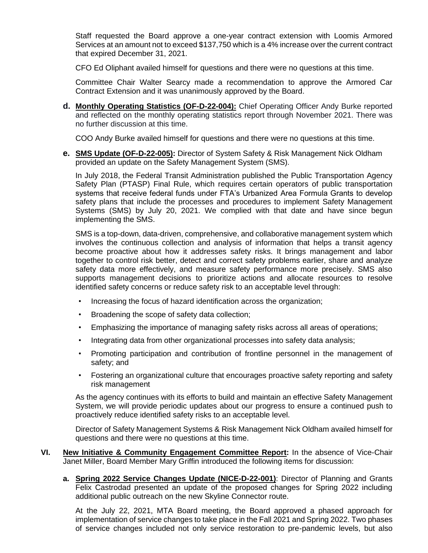Staff requested the Board approve a one-year contract extension with Loomis Armored Services at an amount not to exceed \$137,750 which is a 4% increase over the current contract that expired December 31, 2021.

CFO Ed Oliphant availed himself for questions and there were no questions at this time.

Committee Chair Walter Searcy made a recommendation to approve the Armored Car Contract Extension and it was unanimously approved by the Board.

**d. Monthly Operating Statistics (OF-D-22-004):** Chief Operating Officer Andy Burke reported and reflected on the monthly operating statistics report through November 2021. There was no further discussion at this time.

COO Andy Burke availed himself for questions and there were no questions at this time.

**e. SMS Update (OF-D-22-005):** Director of System Safety & Risk Management Nick Oldham provided an update on the Safety Management System (SMS).

In July 2018, the Federal Transit Administration published the Public Transportation Agency Safety Plan (PTASP) Final Rule, which requires certain operators of public transportation systems that receive federal funds under FTA's Urbanized Area Formula Grants to develop safety plans that include the processes and procedures to implement Safety Management Systems (SMS) by July 20, 2021. We complied with that date and have since begun implementing the SMS.

SMS is a top-down, data-driven, comprehensive, and collaborative management system which involves the continuous collection and analysis of information that helps a transit agency become proactive about how it addresses safety risks. It brings management and labor together to control risk better, detect and correct safety problems earlier, share and analyze safety data more effectively, and measure safety performance more precisely. SMS also supports management decisions to prioritize actions and allocate resources to resolve identified safety concerns or reduce safety risk to an acceptable level through:

- Increasing the focus of hazard identification across the organization;
- Broadening the scope of safety data collection;
- Emphasizing the importance of managing safety risks across all areas of operations;
- Integrating data from other organizational processes into safety data analysis;
- Promoting participation and contribution of frontline personnel in the management of safety; and
- Fostering an organizational culture that encourages proactive safety reporting and safety risk management

As the agency continues with its efforts to build and maintain an effective Safety Management System, we will provide periodic updates about our progress to ensure a continued push to proactively reduce identified safety risks to an acceptable level.

Director of Safety Management Systems & Risk Management Nick Oldham availed himself for questions and there were no questions at this time.

- **VI. New Initiative & Community Engagement Committee Report:** In the absence of Vice-Chair Janet Miller, Board Member Mary Griffin introduced the following items for discussion:
	- **a. Spring 2022 Service Changes Update (NICE-D-22-001)**: Director of Planning and Grants Felix Castrodad presented an update of the proposed changes for Spring 2022 including additional public outreach on the new Skyline Connector route.

At the July 22, 2021, MTA Board meeting, the Board approved a phased approach for implementation of service changes to take place in the Fall 2021 and Spring 2022. Two phases of service changes included not only service restoration to pre-pandemic levels, but also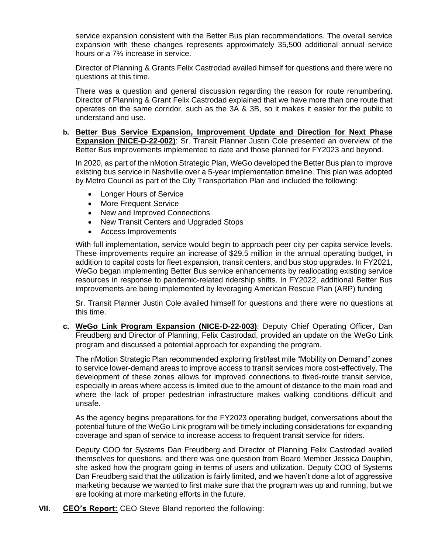service expansion consistent with the Better Bus plan recommendations. The overall service expansion with these changes represents approximately 35,500 additional annual service hours or a 7% increase in service.

Director of Planning & Grants Felix Castrodad availed himself for questions and there were no questions at this time.

There was a question and general discussion regarding the reason for route renumbering. Director of Planning & Grant Felix Castrodad explained that we have more than one route that operates on the same corridor, such as the 3A & 3B, so it makes it easier for the public to understand and use.

#### **b. Better Bus Service Expansion, Improvement Update and Direction for Next Phase Expansion (NICE-D-22-002)**: Sr. Transit Planner Justin Cole presented an overview of the Better Bus improvements implemented to date and those planned for FY2023 and beyond.

In 2020, as part of the nMotion Strategic Plan, WeGo developed the Better Bus plan to improve existing bus service in Nashville over a 5-year implementation timeline. This plan was adopted by Metro Council as part of the City Transportation Plan and included the following:

- Longer Hours of Service
- More Frequent Service
- New and Improved Connections
- New Transit Centers and Upgraded Stops
- Access Improvements

With full implementation, service would begin to approach peer city per capita service levels. These improvements require an increase of \$29.5 million in the annual operating budget, in addition to capital costs for fleet expansion, transit centers, and bus stop upgrades. In FY2021, WeGo began implementing Better Bus service enhancements by reallocating existing service resources in response to pandemic-related ridership shifts. In FY2022, additional Better Bus improvements are being implemented by leveraging American Rescue Plan (ARP) funding

Sr. Transit Planner Justin Cole availed himself for questions and there were no questions at this time.

**c. WeGo Link Program Expansion (NICE-D-22-003)**: Deputy Chief Operating Officer, Dan Freudberg and Director of Planning, Felix Castrodad, provided an update on the WeGo Link program and discussed a potential approach for expanding the program.

The nMotion Strategic Plan recommended exploring first/last mile "Mobility on Demand" zones to service lower-demand areas to improve access to transit services more cost-effectively. The development of these zones allows for improved connections to fixed-route transit service, especially in areas where access is limited due to the amount of distance to the main road and where the lack of proper pedestrian infrastructure makes walking conditions difficult and unsafe.

As the agency begins preparations for the FY2023 operating budget, conversations about the potential future of the WeGo Link program will be timely including considerations for expanding coverage and span of service to increase access to frequent transit service for riders.

Deputy COO for Systems Dan Freudberg and Director of Planning Felix Castrodad availed themselves for questions, and there was one question from Board Member Jessica Dauphin, she asked how the program going in terms of users and utilization. Deputy COO of Systems Dan Freudberg said that the utilization is fairly limited, and we haven't done a lot of aggressive marketing because we wanted to first make sure that the program was up and running, but we are looking at more marketing efforts in the future.

**VII. CEO's Report:** CEO Steve Bland reported the following: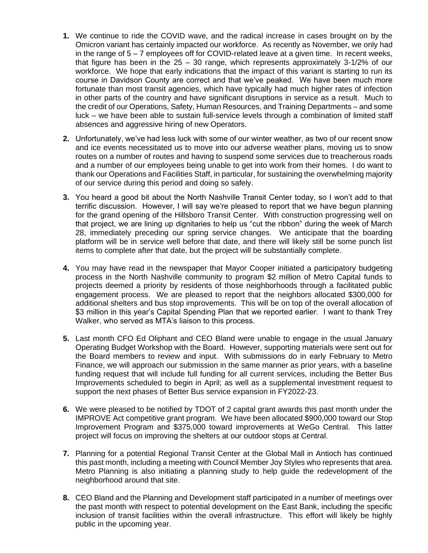- **1.** We continue to ride the COVID wave, and the radical increase in cases brought on by the Omicron variant has certainly impacted our workforce. As recently as November, we only had in the range of 5 – 7 employees off for COVID-related leave at a given time. In recent weeks, that figure has been in the 25 – 30 range, which represents approximately 3-1/2% of our workforce. We hope that early indications that the impact of this variant is starting to run its course in Davidson County are correct and that we've peaked. We have been much more fortunate than most transit agencies, which have typically had much higher rates of infection in other parts of the country and have significant disruptions in service as a result. Much to the credit of our Operations, Safety, Human Resources, and Training Departments – and some luck – we have been able to sustain full-service levels through a combination of limited staff absences and aggressive hiring of new Operators.
- **2.** Unfortunately, we've had less luck with some of our winter weather, as two of our recent snow and ice events necessitated us to move into our adverse weather plans, moving us to snow routes on a number of routes and having to suspend some services due to treacherous roads and a number of our employees being unable to get into work from their homes. I do want to thank our Operations and Facilities Staff, in particular, for sustaining the overwhelming majority of our service during this period and doing so safely.
- **3.** You heard a good bit about the North Nashville Transit Center today, so I won't add to that terrific discussion. However, I will say we're pleased to report that we have begun planning for the grand opening of the Hillsboro Transit Center. With construction progressing well on that project, we are lining up dignitaries to help us "cut the ribbon" during the week of March 28, immediately preceding our spring service changes. We anticipate that the boarding platform will be in service well before that date, and there will likely still be some punch list items to complete after that date, but the project will be substantially complete.
- **4.** You may have read in the newspaper that Mayor Cooper initiated a participatory budgeting process in the North Nashville community to program \$2 million of Metro Capital funds to projects deemed a priority by residents of those neighborhoods through a facilitated public engagement process. We are pleased to report that the neighbors allocated \$300,000 for additional shelters and bus stop improvements. This will be on top of the overall allocation of \$3 million in this year's Capital Spending Plan that we reported earlier. I want to thank Trey Walker, who served as MTA's liaison to this process.
- **5.** Last month CFO Ed Oliphant and CEO Bland were unable to engage in the usual January Operating Budget Workshop with the Board. However, supporting materials were sent out for the Board members to review and input. With submissions do in early February to Metro Finance, we will approach our submission in the same manner as prior years, with a baseline funding request that will include full funding for all current services, including the Better Bus Improvements scheduled to begin in April; as well as a supplemental investment request to support the next phases of Better Bus service expansion in FY2022-23.
- **6.** We were pleased to be notified by TDOT of 2 capital grant awards this past month under the IMPROVE Act competitive grant program. We have been allocated \$900,000 toward our Stop Improvement Program and \$375,000 toward improvements at WeGo Central. This latter project will focus on improving the shelters at our outdoor stops at Central.
- **7.** Planning for a potential Regional Transit Center at the Global Mall in Antioch has continued this past month, including a meeting with Council Member Joy Styles who represents that area. Metro Planning is also initiating a planning study to help guide the redevelopment of the neighborhood around that site.
- **8.** CEO Bland and the Planning and Development staff participated in a number of meetings over the past month with respect to potential development on the East Bank, including the specific inclusion of transit facilities within the overall infrastructure. This effort will likely be highly public in the upcoming year.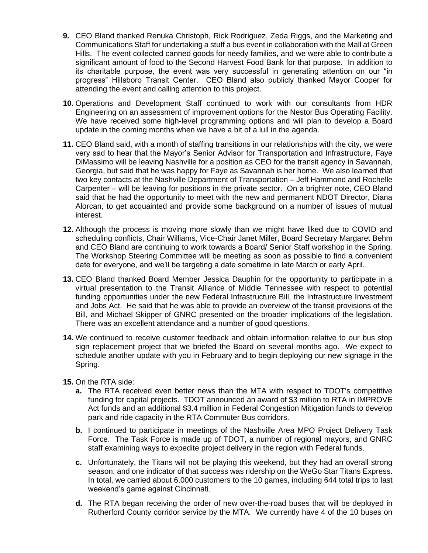- **9.** CEO Bland thanked Renuka Christoph, Rick Rodriguez, Zeda Riggs, and the Marketing and Communications Staff for undertaking a stuff a bus event in collaboration with the Mall at Green Hills. The event collected canned goods for needy families, and we were able to contribute a significant amount of food to the Second Harvest Food Bank for that purpose. In addition to its charitable purpose, the event was very successful in generating attention on our "in progress" Hillsboro Transit Center. CEO Bland also publicly thanked Mayor Cooper for attending the event and calling attention to this project.
- **10.** Operations and Development Staff continued to work with our consultants from HDR Engineering on an assessment of improvement options for the Nestor Bus Operating Facility. We have received some high-level programming options and will plan to develop a Board update in the coming months when we have a bit of a lull in the agenda.
- **11.** CEO Bland said, with a month of staffing transitions in our relationships with the city, we were very sad to hear that the Mayor's Senior Advisor for Transportation and Infrastructure, Faye DiMassimo will be leaving Nashville for a position as CEO for the transit agency in Savannah, Georgia, but said that he was happy for Faye as Savannah is her home. We also learned that two key contacts at the Nashville Department of Transportation – Jeff Hammond and Rochelle Carpenter – will be leaving for positions in the private sector. On a brighter note, CEO Bland said that he had the opportunity to meet with the new and permanent NDOT Director, Diana Alorcan, to get acquainted and provide some background on a number of issues of mutual interest.
- **12.** Although the process is moving more slowly than we might have liked due to COVID and scheduling conflicts, Chair Williams, Vice-Chair Janet Miller, Board Secretary Margaret Behm and CEO Bland are continuing to work towards a Board/ Senior Staff workshop in the Spring. The Workshop Steering Committee will be meeting as soon as possible to find a convenient date for everyone, and we'll be targeting a date sometime in late March or early April.
- **13.** CEO Bland thanked Board Member Jessica Dauphin for the opportunity to participate in a virtual presentation to the Transit Alliance of Middle Tennessee with respect to potential funding opportunities under the new Federal Infrastructure Bill, the Infrastructure Investment and Jobs Act. He said that he was able to provide an overview of the transit provisions of the Bill, and Michael Skipper of GNRC presented on the broader implications of the legislation. There was an excellent attendance and a number of good questions.
- **14.** We continued to receive customer feedback and obtain information relative to our bus stop sign replacement project that we briefed the Board on several months ago. We expect to schedule another update with you in February and to begin deploying our new signage in the Spring.
- **15.** On the RTA side:
	- **a.** The RTA received even better news than the MTA with respect to TDOT's competitive funding for capital projects. TDOT announced an award of \$3 million to RTA in IMPROVE Act funds and an additional \$3.4 million in Federal Congestion Mitigation funds to develop park and ride capacity in the RTA Commuter Bus corridors.
	- **b.** I continued to participate in meetings of the Nashville Area MPO Project Delivery Task Force. The Task Force is made up of TDOT, a number of regional mayors, and GNRC staff examining ways to expedite project delivery in the region with Federal funds.
	- **c.** Unfortunately, the Titans will not be playing this weekend, but they had an overall strong season, and one indicator of that success was ridership on the WeGo Star Titans Express. In total, we carried about 6,000 customers to the 10 games, including 644 total trips to last weekend's game against Cincinnati.
	- **d.** The RTA began receiving the order of new over-the-road buses that will be deployed in Rutherford County corridor service by the MTA. We currently have 4 of the 10 buses on